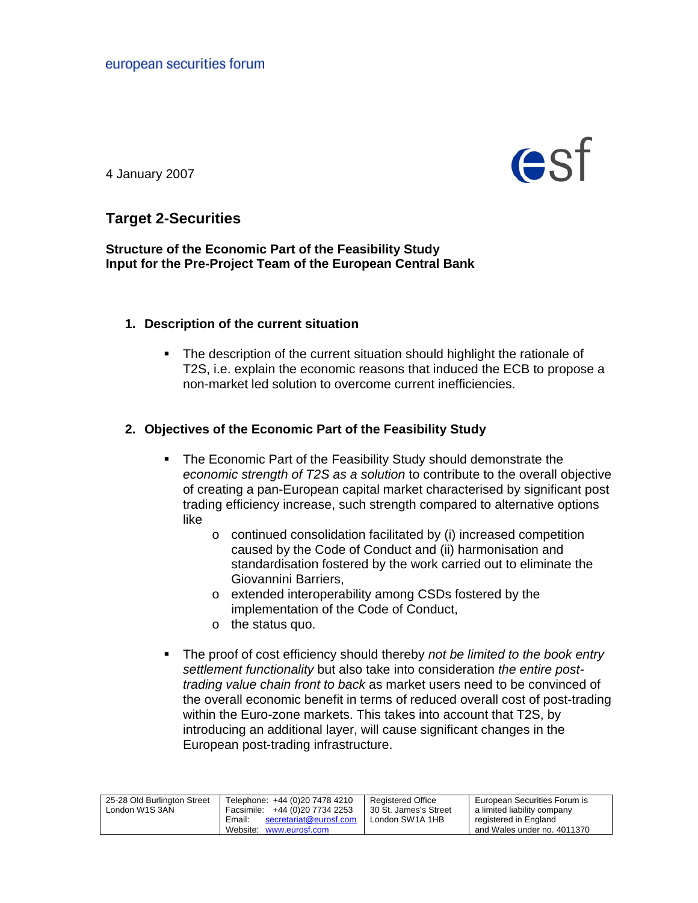

4 January 2007

# **Target 2-Securities**

**Structure of the Economic Part of the Feasibility Study Input for the Pre-Project Team of the European Central Bank** 

### **1. Description of the current situation**

 The description of the current situation should highlight the rationale of T2S, i.e. explain the economic reasons that induced the ECB to propose a non-market led solution to overcome current inefficiencies.

# **2. Objectives of the Economic Part of the Feasibility Study**

- **The Economic Part of the Feasibility Study should demonstrate the** *economic strength of T2S as a solution* to contribute to the overall objective of creating a pan-European capital market characterised by significant post trading efficiency increase, such strength compared to alternative options like
	- o continued consolidation facilitated by (i) increased competition caused by the Code of Conduct and (ii) harmonisation and standardisation fostered by the work carried out to eliminate the Giovannini Barriers,
	- o extended interoperability among CSDs fostered by the implementation of the Code of Conduct,
	- o the status quo.
- The proof of cost efficiency should thereby *not be limited to the book entry settlement functionality* but also take into consideration *the entire posttrading value chain front to back* as market users need to be convinced of the overall economic benefit in terms of reduced overall cost of post-trading within the Euro-zone markets. This takes into account that T2S, by introducing an additional layer, will cause significant changes in the European post-trading infrastructure.

| 25-28 Old Burlington Street | Telephone: +44 (0)20 7478 4210   | <b>Registered Office</b> | European Securities Forum is |
|-----------------------------|----------------------------------|--------------------------|------------------------------|
| London W1S 3AN              | Facsimile: +44 (0) 20 7734 2253  | 30 St. James's Street    | a limited liability company  |
|                             | secretariat@eurosf.com<br>Email: | London SW1A 1HB          | registered in England        |
|                             | Website: www.eurosf.com          |                          | and Wales under no. 4011370  |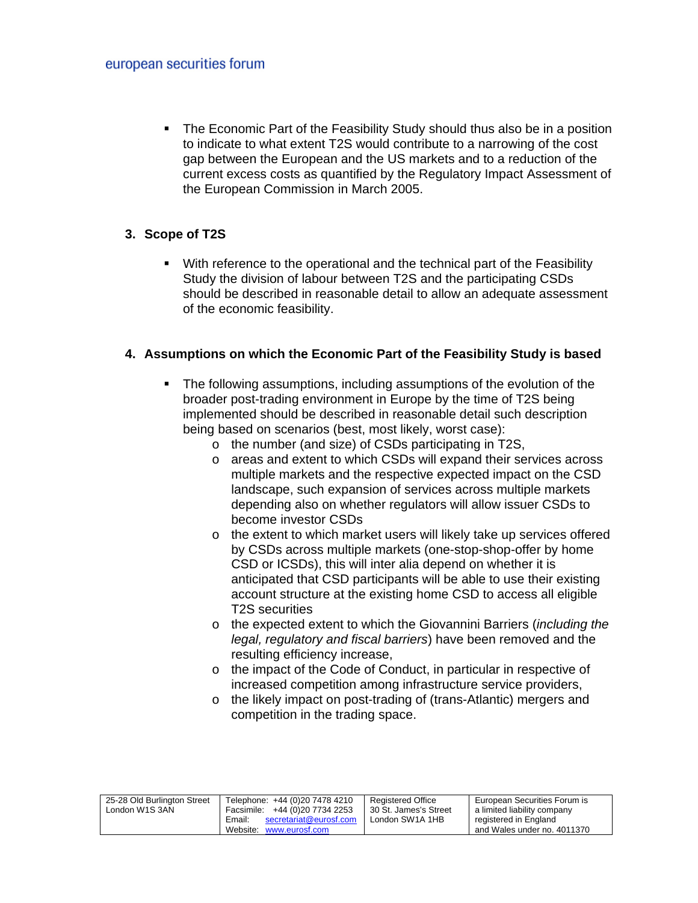The Economic Part of the Feasibility Study should thus also be in a position to indicate to what extent T2S would contribute to a narrowing of the cost gap between the European and the US markets and to a reduction of the current excess costs as quantified by the Regulatory Impact Assessment of the European Commission in March 2005.

### **3. Scope of T2S**

 With reference to the operational and the technical part of the Feasibility Study the division of labour between T2S and the participating CSDs should be described in reasonable detail to allow an adequate assessment of the economic feasibility.

#### **4. Assumptions on which the Economic Part of the Feasibility Study is based**

- The following assumptions, including assumptions of the evolution of the broader post-trading environment in Europe by the time of T2S being implemented should be described in reasonable detail such description being based on scenarios (best, most likely, worst case):
	- o the number (and size) of CSDs participating in T2S,
	- o areas and extent to which CSDs will expand their services across multiple markets and the respective expected impact on the CSD landscape, such expansion of services across multiple markets depending also on whether regulators will allow issuer CSDs to become investor CSDs
	- o the extent to which market users will likely take up services offered by CSDs across multiple markets (one-stop-shop-offer by home CSD or ICSDs), this will inter alia depend on whether it is anticipated that CSD participants will be able to use their existing account structure at the existing home CSD to access all eligible T2S securities
	- o the expected extent to which the Giovannini Barriers (*including the legal, regulatory and fiscal barriers*) have been removed and the resulting efficiency increase,
	- o the impact of the Code of Conduct, in particular in respective of increased competition among infrastructure service providers,
	- o the likely impact on post-trading of (trans-Atlantic) mergers and competition in the trading space.

| 25-28 Old Burlington Street | Telephone: +44 (0)20 7478 4210   | Reaistered Office     | European Securities Forum is |
|-----------------------------|----------------------------------|-----------------------|------------------------------|
| London W1S 3AN              | Facsimile: +44 (0) 20 7734 2253  | 30 St. James's Street | a limited liability company  |
|                             | secretariat@eurosf.com<br>Email: | London SW1A 1HB       | registered in England        |
|                             | Website: www.eurosf.com          |                       | and Wales under no. 4011370  |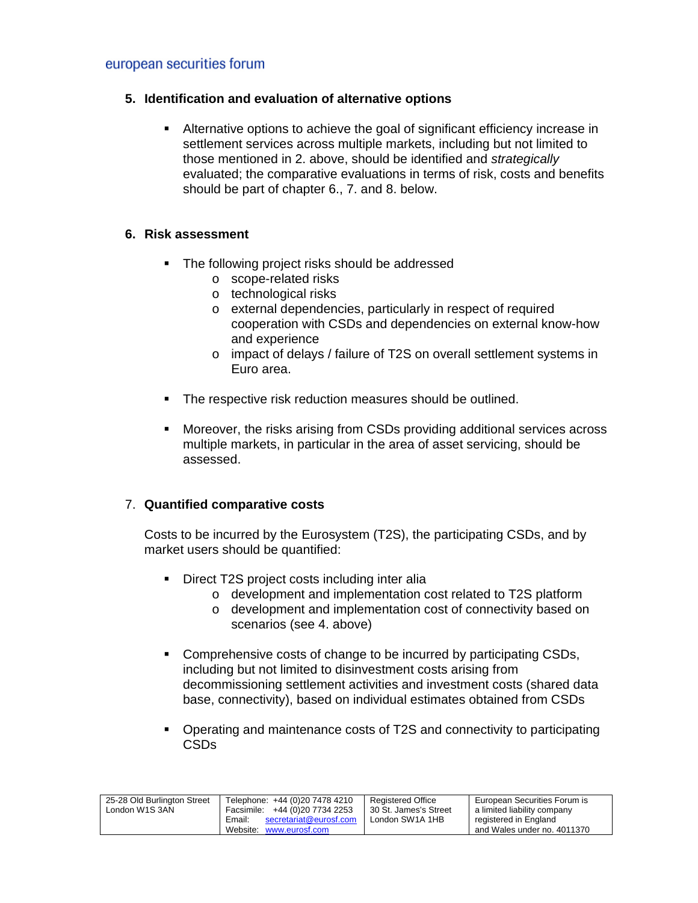### european securities forum

#### **5. Identification and evaluation of alternative options**

 Alternative options to achieve the goal of significant efficiency increase in settlement services across multiple markets, including but not limited to those mentioned in 2. above, should be identified and *strategically*  evaluated; the comparative evaluations in terms of risk, costs and benefits should be part of chapter 6., 7. and 8. below.

### **6. Risk assessment**

- The following project risks should be addressed
	- o scope-related risks
	- o technological risks
	- o external dependencies, particularly in respect of required cooperation with CSDs and dependencies on external know-how and experience
	- o impact of delays / failure of T2S on overall settlement systems in Euro area.
- The respective risk reduction measures should be outlined.
- Moreover, the risks arising from CSDs providing additional services across multiple markets, in particular in the area of asset servicing, should be assessed.

#### 7. **Quantified comparative costs**

Costs to be incurred by the Eurosystem (T2S), the participating CSDs, and by market users should be quantified:

- Direct T2S project costs including inter alia
	- o development and implementation cost related to T2S platform
	- o development and implementation cost of connectivity based on scenarios (see 4. above)
- Comprehensive costs of change to be incurred by participating CSDs, including but not limited to disinvestment costs arising from decommissioning settlement activities and investment costs (shared data base, connectivity), based on individual estimates obtained from CSDs
- Operating and maintenance costs of T2S and connectivity to participating CSDs

| 25-28 Old Burlington Street | Telephone: +44 (0)20 7478 4210   | <b>Registered Office</b> | European Securities Forum is |
|-----------------------------|----------------------------------|--------------------------|------------------------------|
| London W1S 3AN              | Facsimile: +44 (0)20 7734 2253   | 30 St. James's Street    | a limited liability company  |
|                             | secretariat@eurosf.com<br>Email: | London SW1A 1HB          | registered in England        |
|                             | Website: www.eurosf.com          |                          | and Wales under no. 4011370  |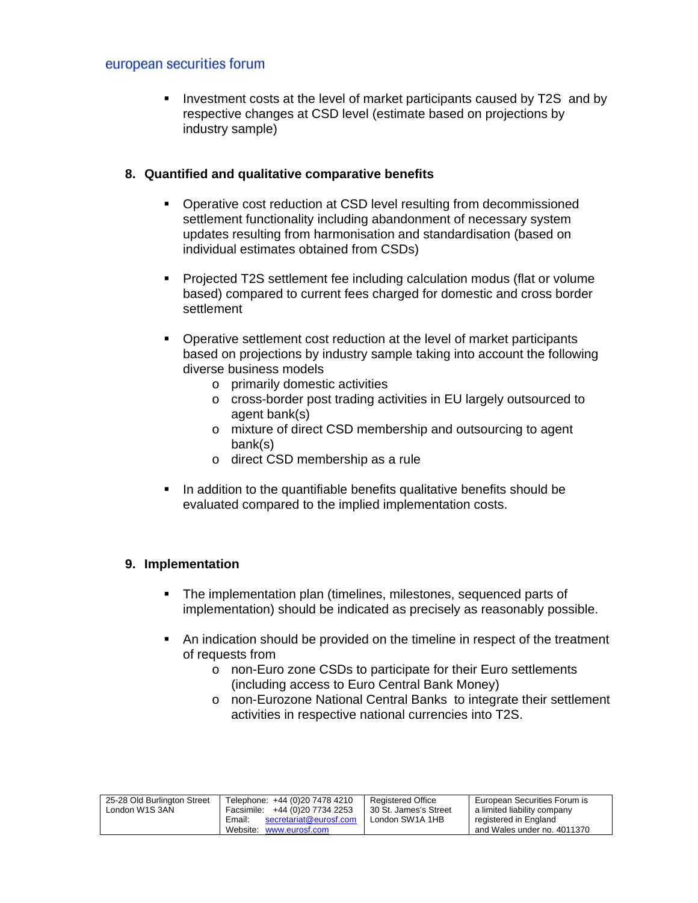### european securities forum

Investment costs at the level of market participants caused by T2S and by respective changes at CSD level (estimate based on projections by industry sample)

### **8. Quantified and qualitative comparative benefits**

- **Operative cost reduction at CSD level resulting from decommissioned** settlement functionality including abandonment of necessary system updates resulting from harmonisation and standardisation (based on individual estimates obtained from CSDs)
- Projected T2S settlement fee including calculation modus (flat or volume based) compared to current fees charged for domestic and cross border settlement
- Operative settlement cost reduction at the level of market participants based on projections by industry sample taking into account the following diverse business models
	- o primarily domestic activities
	- o cross-border post trading activities in EU largely outsourced to agent bank(s)
	- o mixture of direct CSD membership and outsourcing to agent bank(s)
	- o direct CSD membership as a rule
- In addition to the quantifiable benefits qualitative benefits should be evaluated compared to the implied implementation costs.

# **9. Implementation**

- The implementation plan (timelines, milestones, sequenced parts of implementation) should be indicated as precisely as reasonably possible.
- An indication should be provided on the timeline in respect of the treatment of requests from
	- o non-Euro zone CSDs to participate for their Euro settlements (including access to Euro Central Bank Money)
	- o non-Eurozone National Central Banks to integrate their settlement activities in respective national currencies into T2S.

| 25-28 Old Burlington Street | Telephone: +44 (0)20 7478 4210   | <b>Reaistered Office</b> | European Securities Forum is |
|-----------------------------|----------------------------------|--------------------------|------------------------------|
| London W1S 3AN              | Facsimile: +44 (0) 20 7734 2253  | 30 St. James's Street    | a limited liability company  |
|                             | secretariat@eurosf.com<br>Email: | London SW1A 1HB          | registered in England        |
|                             | Website: www.eurosf.com          |                          | and Wales under no. 4011370  |